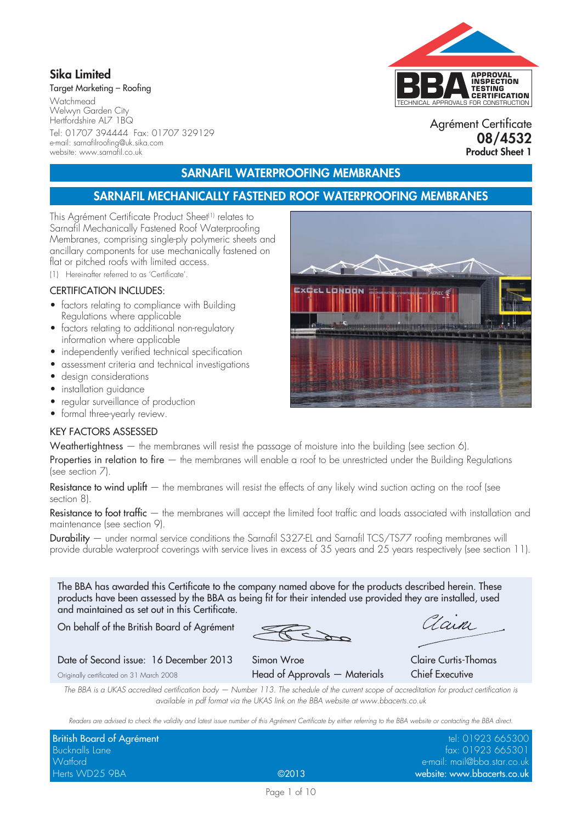## **Sika Limited**

Target Marketing – Roofing

**Watchmead** Welwyn Garden City Hertfordshire AL7 1BQ Tel: 01707 394444 Fax: 01707 329129 e-mail: sarnafilroofing@uk.sika.com website: www.sarnafil.co.uk

# TECHNICAL APPROVALS FOR CONSTRUCTION **APPROVAL INSPECTION TESTING CERTIFICATION**

Agrément Certificate **08/4532 Product Sheet 1**

## **SARNAFIL WATERPROOFING MEMBRANES**

## **SARNAFIL MECHANICALLY FASTENED ROOF WATERPROOFING MEMBRANES**

This Agrément Certificate Product Sheet<sup>(1)</sup> relates to Sarnafil Mechanically Fastened Roof Waterproofing Membranes, comprising single-ply polymeric sheets and ancillary components for use mechanically fastened on flat or pitched roofs with limited access.

(1) Hereinafter referred to as 'Certificate'.

#### CERTIFICATION INCLUDES:

- factors relating to compliance with Building Regulations where applicable
- factors relating to additional non-regulatory information where applicable
- independently verified technical specification
- assessment criteria and technical investigations
- design considerations
- installation guidance
- regular surveillance of production
- formal three-yearly review.

#### KEY FACTORS ASSESSED

Weathertightness — the membranes will resist the passage of moisture into the building (see section 6).

Properties in relation to fire – the membranes will enable a roof to be unrestricted under the Building Regulations (see section 7).

Resistance to wind uplift  $-$  the membranes will resist the effects of any likely wind suction acting on the roof (see section 8).

Resistance to foot traffic — the membranes will accept the limited foot traffic and loads associated with installation and maintenance (see section 9).

Durability — under normal service conditions the Sarnafil S327-EL and Sarnafil TCS/TS77 roofing membranes will provide durable waterproof coverings with service lives in excess of 35 years and 25 years respectively (see section 11).

The BBA has awarded this Certificate to the company named above for the products described herein. These products have been assessed by the BBA as being fit for their intended use provided they are installed, used and maintained as set out in this Certificate.

On behalf of the British Board of Agrément

Lain

#### Date of Second issue: 16 December 2013 Simon Wroe Claire Curtis-Thomas

Originally certificated on 31 March 2008 **Head of Approvals — Materials** Chief Executive

*The BBA is a UKAS accredited certification body — Number 113. The schedule of the current scope of accreditation for product certification is available in pdf format via the UKAS link on the BBA website at www.bbacerts.co.uk*

*Readers are advised to check the validity and latest issue number of this Agrément Certificate by either referring to the BBA website or contacting the BBA direct.*

| British Board of Agrément |       | tel: 01923 665300           |
|---------------------------|-------|-----------------------------|
| <b>Bucknalls Lane</b>     |       | fax: 01923 665301           |
| <b>Watford</b>            |       | e-mail: mail@bba.star.co.uk |
| Herts WD25 9BA            | @2013 | website: www.bbacerts.co.uk |

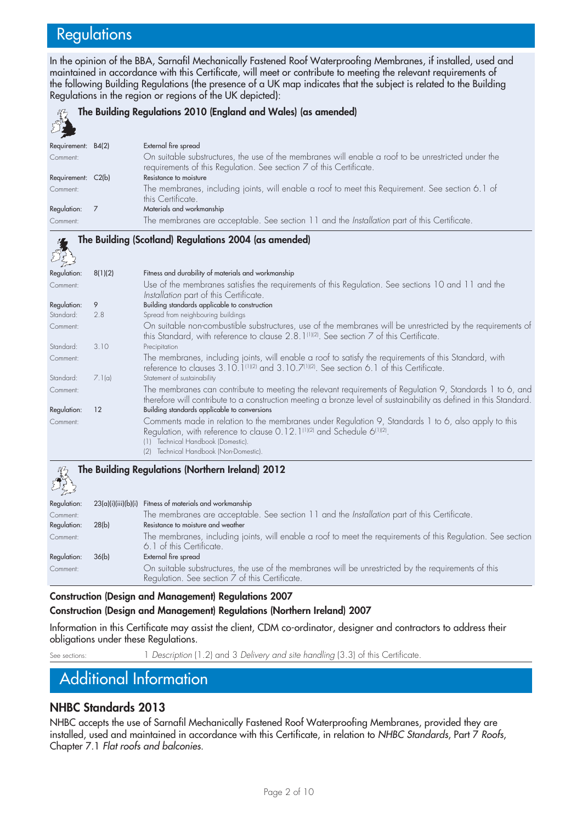# **Regulations**

In the opinion of the BBA, Sarnafil Mechanically Fastened Roof Waterproofing Membranes, if installed, used and maintained in accordance with this Certificate, will meet or contribute to meeting the relevant requirements of the following Building Regulations (the presence of a UK map indicates that the subject is related to the Building Regulations in the region or regions of the UK depicted):

| 殺                  | The Building Regulations 2010 (England and Wales) (as amended)                                                                                                             |
|--------------------|----------------------------------------------------------------------------------------------------------------------------------------------------------------------------|
| Requirement: B4(2) | External fire spread                                                                                                                                                       |
| Comment:           | On suitable substructures, the use of the membranes will enable a roof to be unrestricted under the<br>requirements of this Regulation. See section 7 of this Certificate. |
| Requirement: C2(b) | Resistance to moisture                                                                                                                                                     |
| Comment:           | The membranes, including joints, will enable a roof to meet this Requirement. See section 6.1 of<br>this Certificate.                                                      |
| Regulation:        | Materials and workmanship                                                                                                                                                  |
| Comment:           | The membranes are acceptable. See section 11 and the Installation part of this Certificate.                                                                                |

#### **The Building (Scotland) Regulations 2004 (as amended)**

| 5533        |         |                                                                                                                                                                                                                               |
|-------------|---------|-------------------------------------------------------------------------------------------------------------------------------------------------------------------------------------------------------------------------------|
| Regulation: | 8(1)(2) | Fitness and durability of materials and workmanship                                                                                                                                                                           |
| Comment:    |         | Use of the membranes satisfies the requirements of this Regulation. See sections 10 and 11 and the<br>Installation part of this Certificate.                                                                                  |
| Regulation: | 9       | Building standards applicable to construction                                                                                                                                                                                 |
| Standard:   | 2.8     | Spread from neighbouring buildings                                                                                                                                                                                            |
| Comment:    |         | On suitable non-combustible substructures, use of the membranes will be unrestricted by the requirements of<br>this Standard, with reference to clause $2.8.1^{\text{(1)(2)}}$ . See section 7 of this Certificate.           |
| Standard:   | 3.10    | Precipitation                                                                                                                                                                                                                 |
| Comment:    |         | The membranes, including joints, will enable a roof to satisfy the requirements of this Standard, with<br>reference to clauses 3.10.1 <sup>(1)(2)</sup> and 3.10.7 <sup>(1)(2)</sup> . See section 6.1 of this Certificate.   |
| Standard:   | 7.1(a)  | Statement of sustainability                                                                                                                                                                                                   |
| Comment:    |         | The membranes can contribute to meeting the relevant requirements of Regulation 9, Standards 1 to 6, and<br>therefore will contribute to a construction meeting a bronze level of sustainability as defined in this Standard. |
| Regulation: | 12      | Building standards applicable to conversions                                                                                                                                                                                  |
| Comment:    |         | Comments made in relation to the membranes under Regulation 9, Standards 1 to 6, also apply to this<br>Regulation, with reference to clause 0.12.1(1)(2) and Schedule 6(1)(2).                                                |
|             |         | Technical Handbook (Domestic).<br>(1)                                                                                                                                                                                         |
|             |         | Technical Handbook (Non-Domestic).<br>(2)                                                                                                                                                                                     |

# **The Building Regulations (Northern Ireland) 2012**

| $\sim$ $\approx$ $\sim$ |       |                                                                                                                                                        |
|-------------------------|-------|--------------------------------------------------------------------------------------------------------------------------------------------------------|
| Regulation:             |       | 23(a)(i)(iii)(b)(i) Fitness of materials and workmanship                                                                                               |
| Comment:                |       | The membranes are acceptable. See section 11 and the Installation part of this Certificate.                                                            |
| Regulation:             | 28(b) | Resistance to moisture and weather                                                                                                                     |
| Comment:                |       | The membranes, including joints, will enable a roof to meet the requirements of this Regulation. See section<br>6.1 of this Certificate.               |
| Regulation:             | 36(b) | External fire spread                                                                                                                                   |
| Comment:                |       | On suitable substructures, the use of the membranes will be unrestricted by the requirements of this<br>Regulation. See section 7 of this Certificate. |

**Construction (Design and Management) Regulations 2007**

#### **Construction (Design and Management) Regulations (Northern Ireland) 2007**

Information in this Certificate may assist the client, CDM co-ordinator, designer and contractors to address their obligations under these Regulations.

See sections: 1 *Description* (1.2) and 3 *Delivery and site handling* (3.3) of this Certificate.

# Additional Information

### **NHBC Standards 2013**

NHBC accepts the use of Sarnafil Mechanically Fastened Roof Waterproofing Membranes, provided they are installed, used and maintained in accordance with this Certificate, in relation to *NHBC Standards*, Part 7 *Roofs*, Chapter 7.1 *Flat roofs and balconies*.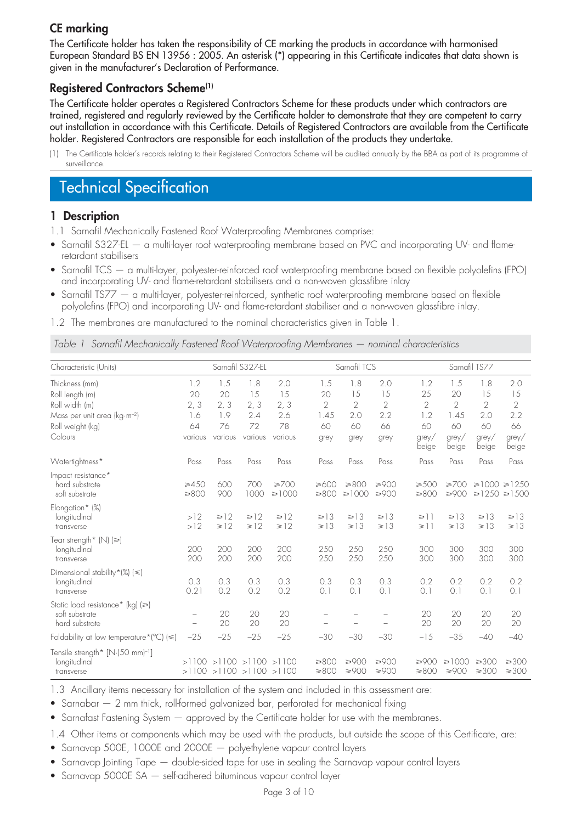## **CE marking**

The Certificate holder has taken the responsibility of CE marking the products in accordance with harmonised European Standard BS EN 13956 : 2005. An asterisk (\*) appearing in this Certificate indicates that data shown is given in the manufacturer's Declaration of Performance.

### **Registered Contractors Scheme(1)**

The Certificate holder operates a Registered Contractors Scheme for these products under which contractors are trained, registered and regularly reviewed by the Certificate holder to demonstrate that they are competent to carry out installation in accordance with this Certificate. Details of Registered Contractors are available from the Certificate holder. Registered Contractors are responsible for each installation of the products they undertake.

# Technical Specification

### **1 Description**

- 1.1 Sarnafil Mechanically Fastened Roof Waterproofing Membranes comprise:
- Sarnafil S327-EL a multi-layer roof waterproofing membrane based on PVC and incorporating UV- and flameretardant stabilisers
- Sarnafil TCS a multi-layer, polyester-reinforced roof waterproofing membrane based on flexible polyolefins (FPO) and incorporating UV- and flame-retardant stabilisers and a non-woven glassfibre inlay
- Sarnafil TS77 a multi-layer, polyester-reinforced, synthetic roof waterproofing membrane based on flexible polyolefins (FPO) and incorporating UV- and flame-retardant stabiliser and a non-woven glassfibre inlay.
- 1.2 The membranes are manufactured to the nominal characteristics given in Table 1.

*Table 1 Sarnafil Mechanically Fastened Roof Waterproofing Membranes — nominal characteristics*

| Characteristic (Units)                                                     |                          |                        | Sarnafil S327-EL                                                   |                           |                          | Sarnafil TCS             |                          |                      |                        | Sarnafil TS77            |                                            |
|----------------------------------------------------------------------------|--------------------------|------------------------|--------------------------------------------------------------------|---------------------------|--------------------------|--------------------------|--------------------------|----------------------|------------------------|--------------------------|--------------------------------------------|
| Thickness (mm)                                                             | 1.2                      | 1.5                    | 1.8                                                                | 2.0                       | 1.5                      | 1.8                      | 2.0                      | 1.2                  | 1.5                    | 1.8                      | 2.0                                        |
| Roll length (m)                                                            | 20                       | 20                     | 15                                                                 | 15                        | 20                       | 15                       | 15                       | 25                   | 20                     | 15                       | 15                                         |
| Roll width (m)                                                             | 2, 3                     | 2, 3                   | 2, 3                                                               | 2, 3                      | $\overline{2}$           | $\overline{2}$           | $\mathbf{2}$             | $\overline{2}$       | $\overline{2}$         | 2                        | $\overline{2}$                             |
| Mass per unit area (kg·m <sup>-2</sup> )                                   | 1.6                      | 1.9                    | 2.4                                                                | 2.6                       | 1.45                     | 2.0                      | 2.2                      | 1.2                  | 1.45                   | 2.0                      | 2.2                                        |
| Roll weight (kg)                                                           | 64                       | 76                     | 72                                                                 | 78                        | 60                       | 60                       | 66                       | 60                   | 60                     | 60                       | 66                                         |
| Colours                                                                    | various                  | various                | various                                                            | various                   | grey                     | grey                     | grey                     | grey/<br>beige       | grey/<br>beige         | $g$ rey/<br>beige        | $g$ rey/<br>beige                          |
| Watertightness*                                                            | Pass                     | Pass                   | Pass                                                               | Pass                      | Pass                     | Pass                     | Pass                     | Pass                 | Pass                   | Pass                     | Pass                                       |
| Impact resistance*<br>hard substrate<br>soft substrate                     | $\geq 450$<br>$\geq 800$ | 600<br>900             | 700<br>1000                                                        | $\geq 700$<br>$\geq 1000$ | $\geq 600$<br>$\geq 800$ | ≥800<br>$\geq 1000$      | ≥900<br>≥900             | $\geq 500$<br>$≥800$ | $\geq 700$<br>$≥900$   |                          | $\geq 1000 \geq 1250$<br>$\ge$ 1250 ≥ 1500 |
| Elongation* (%)<br>longitudinal<br>transverse                              | >12<br>>12               | $\geq 12$<br>$\geq 12$ | $\geq 12$<br>$\geq 12$                                             | $\geq 12$<br>$\geq 12$    | $\geq 13$<br>$\geq 13$   | $\geq 13$<br>$\geq 13$   | $\geq 13$<br>$\geq 13$   | $\geq$ 1<br>$\geq$ 1 | $\geq 13$<br>$\geq 13$ | $\geq 13$<br>$\geq 13$   | $\geq 13$<br>$\geq 13$                     |
| Tear strength* (N) (≥)<br>longitudinal<br>transverse                       | 200<br>200               | 200<br>200             | 200<br>200                                                         | 200<br>200                | 250<br>250               | 250<br>250               | 250<br>250               | 300<br>300           | 300<br>300             | 300<br>300               | 300<br>300                                 |
| Dimensional stability $*(\%) (\leq)$<br>longitudinal<br>transverse         | 0.3<br>0.21              | 0.3<br>0.2             | 0.3<br>0.2                                                         | 0.3<br>0.2                | 0.3<br>0.1               | 0.3<br>O.1               | 0.3<br>0.1               | 0.2<br>O.1           | 0.2<br>0.1             | 0.2<br>O.1               | 0.2<br>0.1                                 |
| Static load resistance* (kg) (≥)<br>soft substrate<br>hard substrate       | $\qquad \qquad -$        | 20<br>20               | 20<br>20                                                           | 20<br>20                  |                          | $\overline{\phantom{0}}$ | $\overline{\phantom{0}}$ | 20<br>20             | 20<br>20               | 20<br>20                 | 20<br>20                                   |
| Foldability at low temperature* $^{\circ}$ C) ( $\leq$ )                   | $-25$                    | $-25$                  | $-25$                                                              | $-25$                     | $-30$                    | $-30$                    | $-30$                    | $-15$                | $-35$                  | $-40$                    | $-40$                                      |
| Tensile strength* [N·(50 mm) <sup>-1</sup> ]<br>longitudinal<br>transverse |                          |                        | $>1100$ $>1100$ $>1100$ $>1100$<br>$>1100$ $>1100$ $>1100$ $>1100$ |                           | $\geq 800$<br>$≥800$     | $≥900$<br>$≥900$         | $≥900$<br>≥900           | $≥900$<br>$≥800$     | $\geq 1000$<br>$≥900$  | $\geq 300$<br>$\geq 300$ | $\geq 300$<br>$\geq 300$                   |

1.3 Ancillary items necessary for installation of the system and included in this assessment are:

- Sarnabar 2 mm thick, roll-formed galvanized bar, perforated for mechanical fixing
- Sarnafast Fastening System  $-$  approved by the Certificate holder for use with the membranes.
- 1.4 Other items or components which may be used with the products, but outside the scope of this Certificate, are:
- Sarnavap 500E, 1000E and 2000E polyethylene vapour control layers
- Sarnavap Jointing Tape double-sided tape for use in sealing the Sarnavap vapour control layers
- Sarnavap 5000E SA self-adhered bituminous vapour control layer

<sup>(1)</sup> The Certificate holder's records relating to their Registered Contractors Scheme will be audited annually by the BBA as part of its programme of surveillance.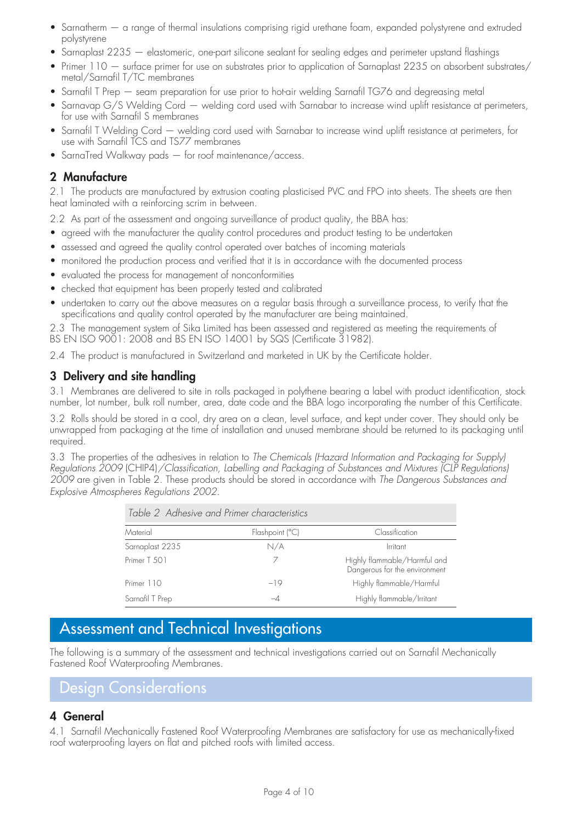- Sarnatherm a range of thermal insulations comprising rigid urethane foam, expanded polystyrene and extruded polystyrene
- Sarnaplast 2235 elastomeric, one-part silicone sealant for sealing edges and perimeter upstand flashings
- Primer 110 surface primer for use on substrates prior to application of Sarnaplast 2235 on absorbent substrates/ metal/Sarnafil T/TC membranes
- Sarnafil T Prep seam preparation for use prior to hot-air welding Sarnafil TG76 and degreasing metal
- Sarnavap G/S Welding Cord welding cord used with Sarnabar to increase wind uplift resistance at perimeters, for use with Sarnafil S membranes
- Sarnafil T Welding Cord welding cord used with Sarnabar to increase wind uplift resistance at perimeters, for use with Sarnafil TCS and TS77 membranes
- SarnaTred Walkway pads for roof maintenance/access.

### **2 Manufacture**

2.1 The products are manufactured by extrusion coating plasticised PVC and FPO into sheets. The sheets are then heat laminated with a reinforcing scrim in between.

2.2 As part of the assessment and ongoing surveillance of product quality, the BBA has:

- agreed with the manufacturer the quality control procedures and product testing to be undertaken
- assessed and agreed the quality control operated over batches of incoming materials
- monitored the production process and verified that it is in accordance with the documented process
- evaluated the process for management of nonconformities
- checked that equipment has been properly tested and calibrated
- undertaken to carry out the above measures on a regular basis through a surveillance process, to verify that the specifications and quality control operated by the manufacturer are being maintained.

2.3 The management system of Sika Limited has been assessed and registered as meeting the requirements of BS EN ISO 9001: 2008 and BS EN ISO 14001 by SQS (Certificate 31982).

2.4 The product is manufactured in Switzerland and marketed in UK by the Certificate holder.

#### **3 Delivery and site handling**

3.1 Membranes are delivered to site in rolls packaged in polythene bearing a label with product identification, stock number, lot number, bulk roll number, area, date code and the BBA logo incorporating the number of this Certificate.

3.2 Rolls should be stored in a cool, dry area on a clean, level surface, and kept under cover. They should only be unwrapped from packaging at the time of installation and unused membrane should be returned to its packaging until required.

3.3 The properties of the adhesives in relation to *The Chemicals (Hazard Information and Packaging for Supply) Regulations 2009* (CHIP4)*/Classification, Labelling and Packaging of Substances and Mixtures (CLP Regulations) 2009* are given in Table 2. These products should be stored in accordance with *The Dangerous Substances and Explosive Atmospheres Regulations 2002*.

| Table 2 Adhesive and Primer characteristics |                 |                                                               |  |  |  |
|---------------------------------------------|-----------------|---------------------------------------------------------------|--|--|--|
| Material                                    | Flashpoint (°C) | Classification                                                |  |  |  |
| Sarnaplast 2235                             | N/A             | Irritant                                                      |  |  |  |
| Primer T 501                                |                 | Highly flammable/Harmful and<br>Dangerous for the environment |  |  |  |
| Primer 110                                  | $-19$           | Highly flammable/Harmful                                      |  |  |  |
| Sarnafil T Prep                             | $-4$            | Highly flammable/Irritant                                     |  |  |  |

# Assessment and Technical Investigations

The following is a summary of the assessment and technical investigations carried out on Sarnafil Mechanically Fastened Roof Waterproofing Membranes.

# Design Considerations

### **4 General**

4.1 Sarnafil Mechanically Fastened Roof Waterproofing Membranes are satisfactory for use as mechanically-fixed roof waterproofing layers on flat and pitched roofs with limited access.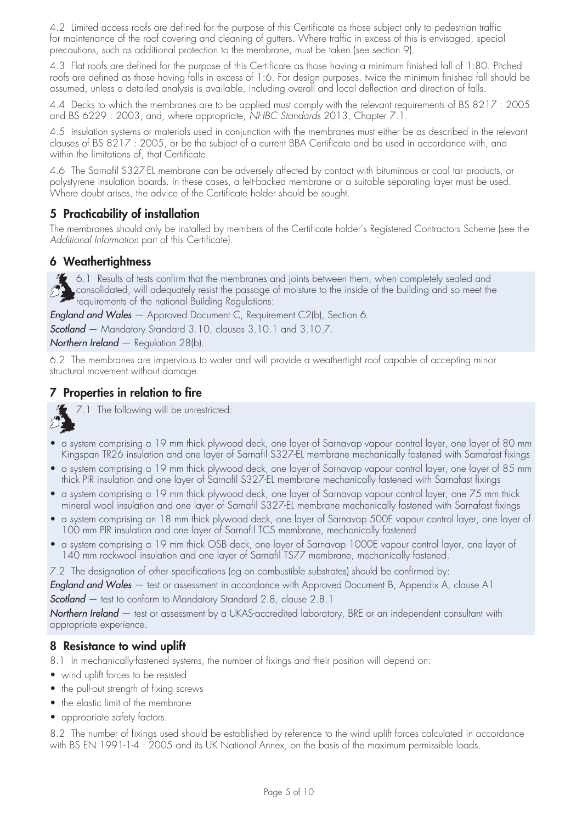4.2 Limited access roofs are defined for the purpose of this Certificate as those subject only to pedestrian traffic for maintenance of the roof covering and cleaning of gutters. Where traffic in excess of this is envisaged, special precautions, such as additional protection to the membrane, must be taken (see section 9).

4.3 Flat roofs are defined for the purpose of this Certificate as those having a minimum finished fall of 1:80. Pitched roofs are defined as those having falls in excess of 1:6. For design purposes, twice the minimum finished fall should be assumed, unless a detailed analysis is available, including overall and local deflection and direction of falls.

4.4 Decks to which the membranes are to be applied must comply with the relevant requirements of BS 8217 : 2005 and BS 6229 : 2003, and, where appropriate, *NHBC Standards* 2013, Chapter 7.1.

4.5 Insulation systems or materials used in conjunction with the membranes must either be as described in the relevant clauses of BS 8217 : 2005, or be the subject of a current BBA Certificate and be used in accordance with, and within the limitations of, that Certificate.

4.6 The Sarnafil S327-EL membrane can be adversely affected by contact with bituminous or coal tar products, or polystyrene insulation boards. In these cases, a felt-backed membrane or a suitable separating layer must be used. Where doubt arises, the advice of the Certificate holder should be sought.

## **5 Practicability of installation**

The membranes should only be installed by members of the Certificate holder's Registered Contractors Scheme (see the Additional Information part of this Certificate).

### **6 Weathertightness**

6.1 Results of tests confirm that the membranes and joints between them, when completely sealed and consolidated, will adequately resist the passage of moisture to the inside of the building and so meet the requirements of the national Building Regulations:

*England and Wales* — Approved Document C, Requirement C2(b), Section 6.

*Scotland* — Mandatory Standard 3.10, clauses 3.10.1 and 3.10.7.

*Northern Ireland* — Regulation 28(b).

6.2 The membranes are impervious to water and will provide a weathertight roof capable of accepting minor structural movement without damage.

## **7 Properties in relation to fire**



7.1 The following will be unrestricted:

- a system comprising a 19 mm thick plywood deck, one layer of Sarnavap vapour control layer, one layer of 80 mm Kingspan TR26 insulation and one layer of Sarnafil S327-EL membrane mechanically fastened with Sarnafast fixings
- a system comprising a 19 mm thick plywood deck, one layer of Sarnavap vapour control layer, one layer of 85 mm thick PIR insulation and one layer of Sarnafil S327-EL membrane mechanically fastened with Sarnafast fixings
- a system comprising a 19 mm thick plywood deck, one layer of Sarnavap vapour control layer, one 75 mm thick mineral wool insulation and one layer of Sarnafil S327-EL membrane mechanically fastened with Sarnafast fixings
- a system comprising an 18 mm thick plywood deck, one layer of Sarnavap 500E vapour control layer, one layer of 100 mm PIR insulation and one layer of Sarnafil TCS membrane, mechanically fastened
- a system comprising a 19 mm thick OSB deck, one layer of Sarnavap 1000E vapour control layer, one layer of 140 mm rockwool insulation and one layer of Sarnafil TS77 membrane, mechanically fastened.

7.2 The designation of other specifications (eg on combustible substrates) should be confirmed by:

*England and Wales* — test or assessment in accordance with Approved Document B, Appendix A, clause A1 *Scotland* — test to conform to Mandatory Standard 2.8, clause 2.8.1

*Northern Ireland* — test or assessment by a UKAS-accredited laboratory, BRE or an independent consultant with appropriate experience.

### **8 Resistance to wind uplift**

- 8.1 In mechanically-fastened systems, the number of fixings and their position will depend on:
- wind uplift forces to be resisted
- the pull-out strength of fixing screws
- the elastic limit of the membrane
- appropriate safety factors.

8.2 The number of fixings used should be established by reference to the wind uplift forces calculated in accordance with BS EN 1991-1-4 : 2005 and its UK National Annex, on the basis of the maximum permissible loads.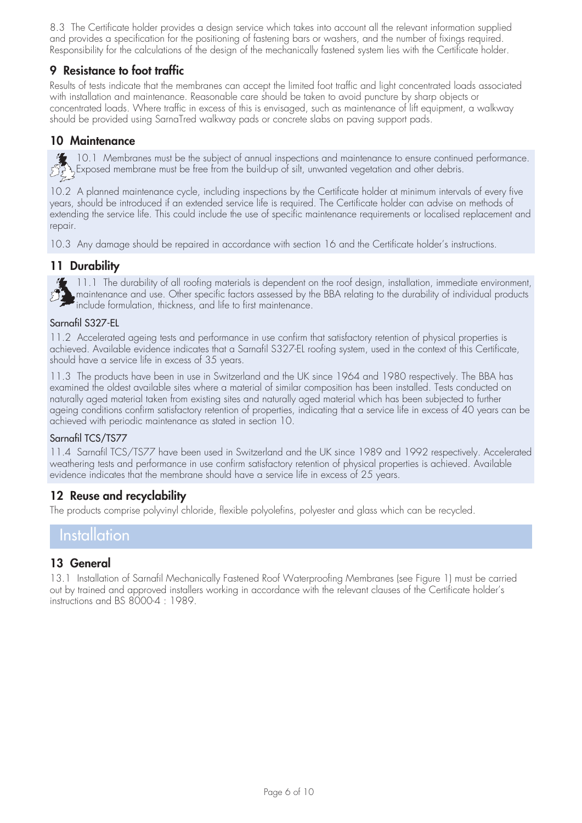8.3 The Certificate holder provides a design service which takes into account all the relevant information supplied and provides a specification for the positioning of fastening bars or washers, and the number of fixings required. Responsibility for the calculations of the design of the mechanically fastened system lies with the Certificate holder.

## **9 Resistance to foot traffic**

Results of tests indicate that the membranes can accept the limited foot traffic and light concentrated loads associated with installation and maintenance. Reasonable care should be taken to avoid puncture by sharp objects or concentrated loads. Where traffic in excess of this is envisaged, such as maintenance of lift equipment, a walkway should be provided using SarnaTred walkway pads or concrete slabs on paving support pads.

#### **10 Maintenance**

10.1 Membranes must be the subject of annual inspections and maintenance to ensure continued performance. Exposed membrane must be free from the build-up of silt, unwanted vegetation and other debris.

10.2 A planned maintenance cycle, including inspections by the Certificate holder at minimum intervals of every five years, should be introduced if an extended service life is required. The Certificate holder can advise on methods of extending the service life. This could include the use of specific maintenance requirements or localised replacement and repair.

10.3 Any damage should be repaired in accordance with section 16 and the Certificate holder's instructions.

## **11 Durability**

<sup>1</sup>11.1 The durability of all roofing materials is dependent on the roof design, installation, immediate environment, maintenance and use. Other specific factors assessed by the BBA relating to the durability of individual products include formulation, thickness, and life to first maintenance.

#### Sarnafil S327-EL

11.2 Accelerated ageing tests and performance in use confirm that satisfactory retention of physical properties is achieved. Available evidence indicates that a Sarnafil S327-EL roofing system, used in the context of this Certificate, should have a service life in excess of 35 years.

11.3 The products have been in use in Switzerland and the UK since 1964 and 1980 respectively. The BBA has examined the oldest available sites where a material of similar composition has been installed. Tests conducted on naturally aged material taken from existing sites and naturally aged material which has been subjected to further ageing conditions confirm satisfactory retention of properties, indicating that a service life in excess of 40 years can be achieved with periodic maintenance as stated in section 10.

#### Sarnafil TCS/TS77

11.4 Sarnafil TCS/TS77 have been used in Switzerland and the UK since 1989 and 1992 respectively. Accelerated weathering tests and performance in use confirm satisfactory retention of physical properties is achieved. Available evidence indicates that the membrane should have a service life in excess of 25 years.

### **12 Reuse and recyclability**

The products comprise polyvinyl chloride, flexible polyolefins, polyester and glass which can be recycled.

## Installation

#### **13 General**

13.1 Installation of Sarnafil Mechanically Fastened Roof Waterproofing Membranes (see Figure 1) must be carried out by trained and approved installers working in accordance with the relevant clauses of the Certificate holder's instructions and BS 8000-4 : 1989.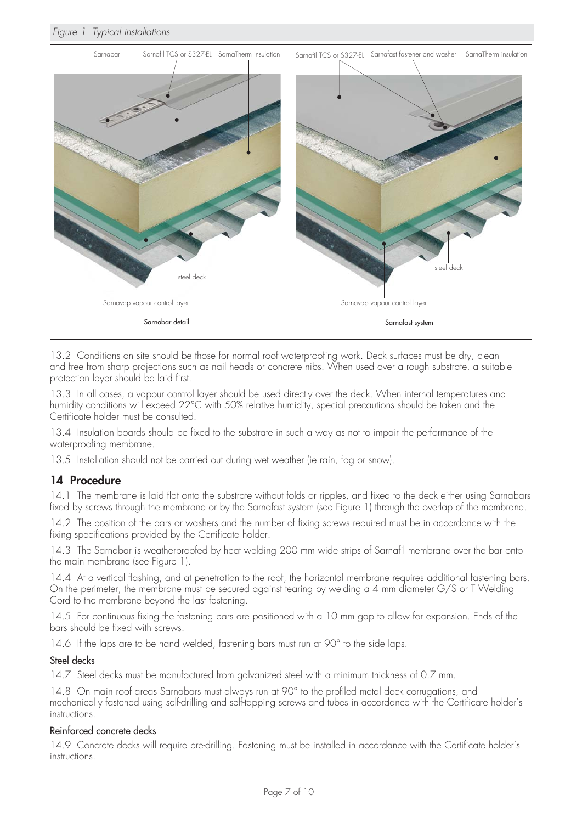#### *Figure 1 Typical installations*



13.2 Conditions on site should be those for normal roof waterproofing work. Deck surfaces must be dry, clean and free from sharp projections such as nail heads or concrete nibs. When used over a rough substrate, a suitable protection layer should be laid first.

13.3 In all cases, a vapour control layer should be used directly over the deck. When internal temperatures and humidity conditions will exceed 22°C with 50% relative humidity, special precautions should be taken and the Certificate holder must be consulted.

13.4 Insulation boards should be fixed to the substrate in such a way as not to impair the performance of the waterproofing membrane.

13.5 Installation should not be carried out during wet weather (ie rain, fog or snow).

#### **14 Procedure**

14.1 The membrane is laid flat onto the substrate without folds or ripples, and fixed to the deck either using Sarnabars fixed by screws through the membrane or by the Sarnafast system (see Figure 1) through the overlap of the membrane.

14.2 The position of the bars or washers and the number of fixing screws required must be in accordance with the fixing specifications provided by the Certificate holder.

14.3 The Sarnabar is weatherproofed by heat welding 200 mm wide strips of Sarnafil membrane over the bar onto the main membrane (see Figure 1).

14.4 At a vertical flashing, and at penetration to the roof, the horizontal membrane requires additional fastening bars. On the perimeter, the membrane must be secured against tearing by welding a 4 mm diameter G/S or T Welding Cord to the membrane beyond the last fastening.

14.5 For continuous fixing the fastening bars are positioned with a 10 mm gap to allow for expansion. Ends of the bars should be fixed with screws.

14.6 If the laps are to be hand welded, fastening bars must run at 90° to the side laps.

#### Steel decks

14.7 Steel decks must be manufactured from galvanized steel with a minimum thickness of 0.7 mm.

14.8 On main roof areas Sarnabars must always run at 90° to the profiled metal deck corrugations, and mechanically fastened using self-drilling and self-tapping screws and tubes in accordance with the Certificate holder's instructions.

#### Reinforced concrete decks

14.9 Concrete decks will require pre-drilling. Fastening must be installed in accordance with the Certificate holder's instructions.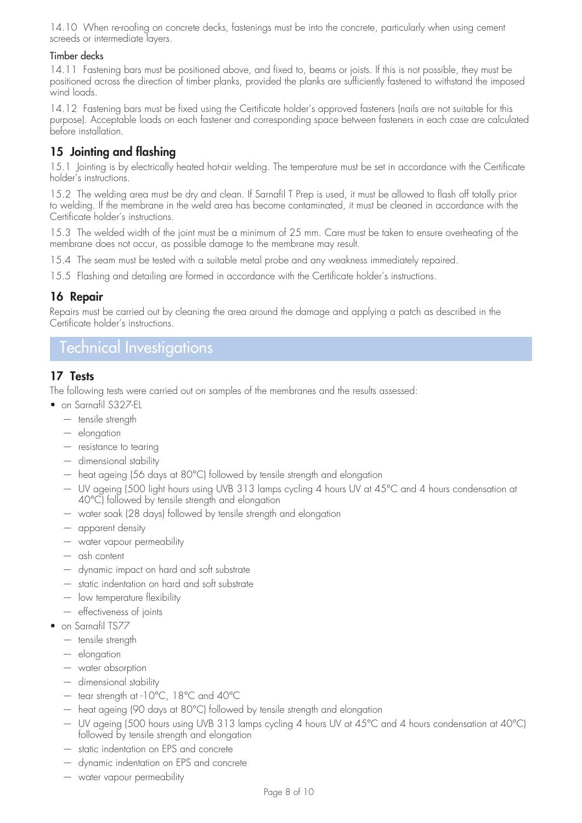14.10 When re-roofing on concrete decks, fastenings must be into the concrete, particularly when using cement screeds or intermediate layers.

#### Timber decks

14.11 Fastening bars must be positioned above, and fixed to, beams or joists. If this is not possible, they must be positioned across the direction of timber planks, provided the planks are sufficiently fastened to withstand the imposed wind loads.

14.12 Fastening bars must be fixed using the Certificate holder's approved fasteners (nails are not suitable for this purpose). Acceptable loads on each fastener and corresponding space between fasteners in each case are calculated before installation.

## **15 Jointing and flashing**

15.1 Jointing is by electrically heated hot-air welding. The temperature must be set in accordance with the Certificate holder's instructions.

15.2 The welding area must be dry and clean. If Sarnafil T Prep is used, it must be allowed to flash off totally prior to welding. If the membrane in the weld area has become contaminated, it must be cleaned in accordance with the Certificate holder's instructions.

15.3 The welded width of the joint must be a minimum of 25 mm. Care must be taken to ensure overheating of the membrane does not occur, as possible damage to the membrane may result.

15.4 The seam must be tested with a suitable metal probe and any weakness immediately repaired.

15.5 Flashing and detailing are formed in accordance with the Certificate holder's instructions.

### **16 Repair**

Repairs must be carried out by cleaning the area around the damage and applying a patch as described in the Certificate holder's instructions.

## Technical Investigations

### **17 Tests**

The following tests were carried out on samples of the membranes and the results assessed:

- on Sarnafil S327-EL
	- tensile strength
	- elongation
	- resistance to tearing
	- dimensional stability
	- heat ageing (56 days at 80°C) followed by tensile strength and elongation
	- UV ageing (500 light hours using UVB 313 lamps cycling 4 hours UV at 45°C and 4 hours condensation at 40°C) followed by tensile strength and elongation
	- water soak (28 days) followed by tensile strength and elongation
	- apparent density
	- water vapour permeability
	- ash content
	- dynamic impact on hard and soft substrate
	- static indentation on hard and soft substrate
	- low temperature flexibility
	- effectiveness of joints
- on Sarnafil TS77
	- tensile strength
	- elongation
	- water absorption
	- dimensional stability
	- tear strength at -10°C, 18°C and 40°C
	- heat ageing (90 days at 80°C) followed by tensile strength and elongation
	- UV ageing (500 hours using UVB 313 lamps cycling 4 hours UV at 45°C and 4 hours condensation at 40°C) followed by tensile strength and elongation
	- static indentation on EPS and concrete
	- dynamic indentation on EPS and concrete
	- water vapour permeability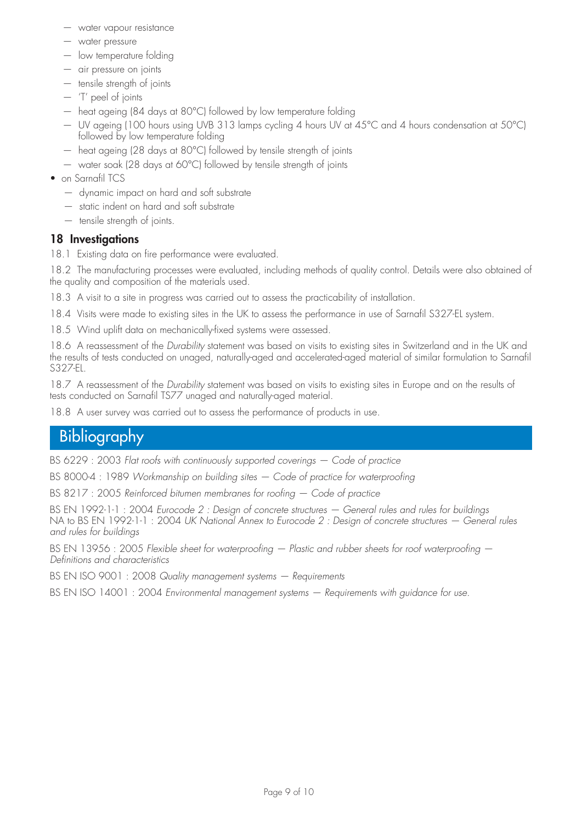- water vapour resistance
- water pressure
- low temperature folding
- air pressure on joints
- tensile strength of joints
- 'T' peel of joints
- heat ageing (84 days at 80°C) followed by low temperature folding
- UV ageing (100 hours using UVB 313 lamps cycling 4 hours UV at 45°C and 4 hours condensation at 50°C) followed by low temperature folding
- heat ageing (28 days at 80°C) followed by tensile strength of joints
- water soak (28 days at 60°C) followed by tensile strength of joints
- on Sarnafil TCS
	- dynamic impact on hard and soft substrate
	- static indent on hard and soft substrate
	- tensile strength of joints.

#### **18 Investigations**

18.1 Existing data on fire performance were evaluated.

18.2 The manufacturing processes were evaluated, including methods of quality control. Details were also obtained of the quality and composition of the materials used.

18.3 A visit to a site in progress was carried out to assess the practicability of installation.

18.4 Visits were made to existing sites in the UK to assess the performance in use of Sarnafil S327-EL system.

18.5 Wind uplift data on mechanically-fixed systems were assessed.

18.6 A reassessment of the *Durability* statement was based on visits to existing sites in Switzerland and in the UK and the results of tests conducted on unaged, naturally-aged and accelerated-aged material of similar formulation to Sarnafil S327-EL.

18.7 A reassessment of the *Durability* statement was based on visits to existing sites in Europe and on the results of tests conducted on Sarnafil TS77 unaged and naturally-aged material.

18.8 A user survey was carried out to assess the performance of products in use.

# Bibliography

BS 6229 : 2003 *Flat roofs with continuously supported coverings — Code of practice*

BS 8000-4 : 1989 *Workmanship on building sites — Code of practice for waterproofing*

BS 8217 : 2005 *Reinforced bitumen membranes for roofing — Code of practice*

BS EN 1992-1-1 : 2004 *Eurocode 2 : Design of concrete structures — General rules and rules for buildings* NA to BS EN 1992-1-1 : 2004 *UK National Annex to Eurocode 2 : Design of concrete structures — General rules and rules for buildings*

BS EN 13956 : 2005 *Flexible sheet for waterproofing – Plastic and rubber sheets for roof waterproofing – Definitions and characteristics*

BS EN ISO 9001 : 2008 *Quality management systems — Requirements*

BS EN ISO 14001 : 2004 *Environmental management systems — Requirements with guidance for use.*